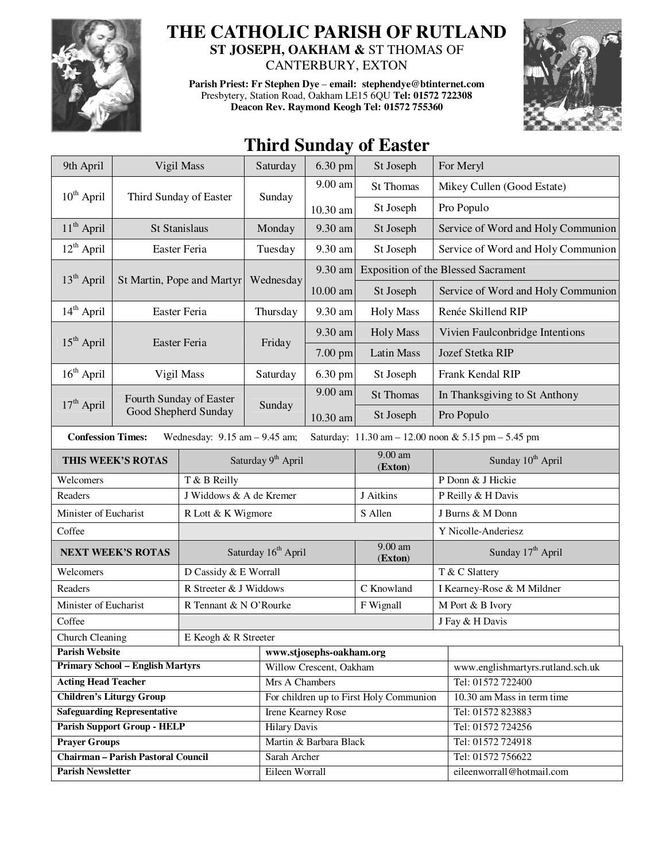

## **THE CATHOLIC PARISH OF RUTLAND**

**ST JOSEPH, OAKHAM &** ST THOMAS OF CANTERBURY, EXTON

**Parish Priest: Fr Stephen Dye** – **email: stephendye@btinternet.com** Presbytery, Station Road, Oakham LE15 6QU **Tel: 01572 722308 Deacon Rev. Raymond Keogh Tel: 01572 755360** 



## **Third Sunday of Easter**

| 9th April                                                                                                            | Vigil Mass                 |                                                 | Saturday                                | 6.30 pm    | St Joseph            |                                   | For Meryl                                  |
|----------------------------------------------------------------------------------------------------------------------|----------------------------|-------------------------------------------------|-----------------------------------------|------------|----------------------|-----------------------------------|--------------------------------------------|
| $10^{th}$ April                                                                                                      | Third Sunday of Easter     |                                                 | Sunday                                  | $9.00$ am  | <b>St Thomas</b>     |                                   | Mikey Cullen (Good Estate)                 |
|                                                                                                                      |                            |                                                 |                                         | 10.30 am   | St Joseph            |                                   | Pro Populo                                 |
| $11th$ April                                                                                                         |                            | St Stanislaus                                   | Monday                                  | 9.30 am    | St Joseph            |                                   | Service of Word and Holy Communion         |
| $12^{th}$ April                                                                                                      | Easter Feria               |                                                 | Tuesday                                 | 9.30 am    | St Joseph            |                                   | Service of Word and Holy Communion         |
|                                                                                                                      | St Martin, Pope and Martyr |                                                 | Wednesday                               | 9.30 am    |                      |                                   | <b>Exposition of the Blessed Sacrament</b> |
| $13th$ April                                                                                                         |                            |                                                 |                                         | $10.00$ am | St Joseph            |                                   | Service of Word and Holy Communion         |
| $14th$ April                                                                                                         | Easter Feria               |                                                 | Thursday                                | 9.30 am    | <b>Holy Mass</b>     |                                   | Renée Skillend RIP                         |
|                                                                                                                      | Easter Feria               |                                                 | Friday                                  | 9.30 am    | <b>Holy Mass</b>     |                                   | Vivien Faulconbridge Intentions            |
| $15th$ April                                                                                                         |                            |                                                 |                                         | 7.00 pm    | <b>Latin Mass</b>    |                                   | Jozef Stetka RIP                           |
| $16th$ April                                                                                                         |                            | Vigil Mass                                      | Saturday                                | 6.30 pm    | St Joseph            |                                   | Frank Kendal RIP                           |
|                                                                                                                      |                            | Fourth Sunday of Easter<br>Good Shepherd Sunday | Sunday                                  | $9.00$ am  | <b>St Thomas</b>     |                                   | In Thanksgiving to St Anthony              |
| $17th$ April                                                                                                         |                            |                                                 |                                         | 10.30 am   | St Joseph            |                                   | Pro Populo                                 |
| Wednesday: $9.15$ am $- 9.45$ am;<br><b>Confession Times:</b><br>Saturday: 11.30 am - 12.00 noon & 5.15 pm - 5.45 pm |                            |                                                 |                                         |            |                      |                                   |                                            |
| THIS WEEK'S ROTAS                                                                                                    |                            |                                                 | Saturday 9 <sup>th</sup> April          |            | 9.00 am<br>(Exton)   |                                   | Sunday 10 <sup>th</sup> April              |
| Welcomers                                                                                                            |                            | T & B Reilly                                    |                                         |            |                      |                                   | P Donn & J Hickie                          |
| Readers                                                                                                              |                            | J Widdows & A de Kremer                         |                                         |            | J Aitkins            | P Reilly & H Davis                |                                            |
| Minister of Eucharist                                                                                                |                            | R Lott & K Wigmore                              |                                         |            | S Allen              | J Burns & M Donn                  |                                            |
| Coffee                                                                                                               |                            |                                                 |                                         |            |                      |                                   | Y Nicolle-Anderiesz                        |
| <b>NEXT WEEK'S ROTAS</b>                                                                                             |                            | Saturday 16 <sup>th</sup> April                 |                                         |            | $9.00$ am<br>(Exton) |                                   | Sunday 17 <sup>th</sup> April              |
| Welcomers                                                                                                            |                            | D Cassidy & E Worrall                           |                                         |            |                      |                                   | T & C Slattery                             |
| Readers                                                                                                              |                            | R Streeter & J Widdows                          |                                         |            | C Knowland           |                                   | I Kearney-Rose & M Mildner                 |
| Minister of Eucharist                                                                                                |                            | R Tennant & N O'Rourke                          |                                         |            | F Wignall            |                                   | M Port & B Ivory                           |
| Coffee                                                                                                               |                            |                                                 |                                         |            |                      | J Fay & H Davis                   |                                            |
| <b>Church Cleaning</b><br>E Keogh & R Streeter                                                                       |                            |                                                 |                                         |            |                      |                                   |                                            |
| <b>Parish Website</b>                                                                                                |                            |                                                 | www.stjosephs-oakham.org                |            |                      |                                   |                                            |
| <b>Primary School - English Martyrs</b>                                                                              |                            |                                                 | Willow Crescent, Oakham                 |            |                      | www.englishmartyrs.rutland.sch.uk |                                            |
| <b>Acting Head Teacher</b>                                                                                           |                            |                                                 | Mrs A Chambers                          |            |                      | Tel: 01572 722400                 |                                            |
| <b>Children's Liturgy Group</b>                                                                                      |                            |                                                 | For children up to First Holy Communion |            |                      | 10.30 am Mass in term time        |                                            |
| <b>Safeguarding Representative</b>                                                                                   |                            |                                                 | Irene Kearney Rose                      |            |                      | Tel: 01572 823883                 |                                            |
| <b>Parish Support Group - HELP</b>                                                                                   |                            |                                                 | <b>Hilary Davis</b>                     |            |                      | Tel: 01572 724256                 |                                            |
| <b>Prayer Groups</b>                                                                                                 |                            |                                                 | Martin & Barbara Black                  |            |                      | Tel: 01572 724918                 |                                            |
| <b>Chairman - Parish Pastoral Council</b>                                                                            |                            |                                                 | Sarah Archer                            |            |                      | Tel: 01572 756622                 |                                            |
| <b>Parish Newsletter</b>                                                                                             |                            |                                                 | Eileen Worrall                          |            |                      | eileenworrall@hotmail.com         |                                            |